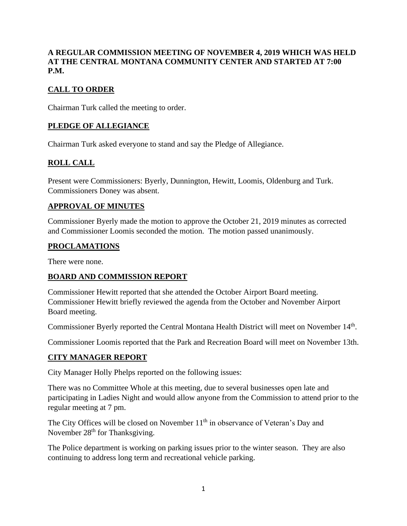#### **A REGULAR COMMISSION MEETING OF NOVEMBER 4, 2019 WHICH WAS HELD AT THE CENTRAL MONTANA COMMUNITY CENTER AND STARTED AT 7:00 P.M.**

### **CALL TO ORDER**

Chairman Turk called the meeting to order.

### **PLEDGE OF ALLEGIANCE**

Chairman Turk asked everyone to stand and say the Pledge of Allegiance.

## **ROLL CALL**

Present were Commissioners: Byerly, Dunnington, Hewitt, Loomis, Oldenburg and Turk. Commissioners Doney was absent.

#### **APPROVAL OF MINUTES**

Commissioner Byerly made the motion to approve the October 21, 2019 minutes as corrected and Commissioner Loomis seconded the motion. The motion passed unanimously.

### **PROCLAMATIONS**

There were none.

### **BOARD AND COMMISSION REPORT**

Commissioner Hewitt reported that she attended the October Airport Board meeting. Commissioner Hewitt briefly reviewed the agenda from the October and November Airport Board meeting.

Commissioner Byerly reported the Central Montana Health District will meet on November 14<sup>th</sup>.

Commissioner Loomis reported that the Park and Recreation Board will meet on November 13th.

### **CITY MANAGER REPORT**

City Manager Holly Phelps reported on the following issues:

There was no Committee Whole at this meeting, due to several businesses open late and participating in Ladies Night and would allow anyone from the Commission to attend prior to the regular meeting at 7 pm.

The City Offices will be closed on November  $11<sup>th</sup>$  in observance of Veteran's Day and November 28<sup>th</sup> for Thanksgiving.

The Police department is working on parking issues prior to the winter season. They are also continuing to address long term and recreational vehicle parking.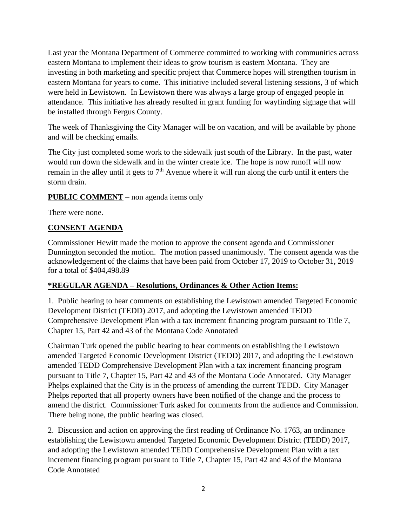Last year the Montana Department of Commerce committed to working with communities across eastern Montana to implement their ideas to grow tourism is eastern Montana. They are investing in both marketing and specific project that Commerce hopes will strengthen tourism in eastern Montana for years to come. This initiative included several listening sessions, 3 of which were held in Lewistown. In Lewistown there was always a large group of engaged people in attendance. This initiative has already resulted in grant funding for wayfinding signage that will be installed through Fergus County.

The week of Thanksgiving the City Manager will be on vacation, and will be available by phone and will be checking emails.

The City just completed some work to the sidewalk just south of the Library. In the past, water would run down the sidewalk and in the winter create ice. The hope is now runoff will now remain in the alley until it gets to  $7<sup>th</sup>$  Avenue where it will run along the curb until it enters the storm drain.

### **PUBLIC COMMENT** – non agenda items only

There were none.

### **CONSENT AGENDA**

Commissioner Hewitt made the motion to approve the consent agenda and Commissioner Dunnington seconded the motion. The motion passed unanimously. The consent agenda was the acknowledgement of the claims that have been paid from October 17, 2019 to October 31, 2019 for a total of \$404,498.89

### **\*REGULAR AGENDA – Resolutions, Ordinances & Other Action Items:**

1. Public hearing to hear comments on establishing the Lewistown amended Targeted Economic Development District (TEDD) 2017, and adopting the Lewistown amended TEDD Comprehensive Development Plan with a tax increment financing program pursuant to Title 7, Chapter 15, Part 42 and 43 of the Montana Code Annotated

Chairman Turk opened the public hearing to hear comments on establishing the Lewistown amended Targeted Economic Development District (TEDD) 2017, and adopting the Lewistown amended TEDD Comprehensive Development Plan with a tax increment financing program pursuant to Title 7, Chapter 15, Part 42 and 43 of the Montana Code Annotated. City Manager Phelps explained that the City is in the process of amending the current TEDD. City Manager Phelps reported that all property owners have been notified of the change and the process to amend the district. Commissioner Turk asked for comments from the audience and Commission. There being none, the public hearing was closed.

2. Discussion and action on approving the first reading of Ordinance No. 1763, an ordinance establishing the Lewistown amended Targeted Economic Development District (TEDD) 2017, and adopting the Lewistown amended TEDD Comprehensive Development Plan with a tax increment financing program pursuant to Title 7, Chapter 15, Part 42 and 43 of the Montana Code Annotated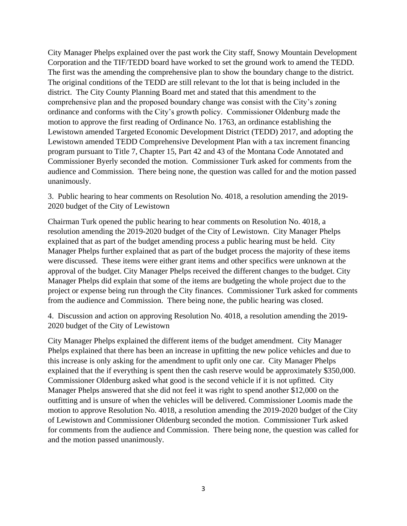City Manager Phelps explained over the past work the City staff, Snowy Mountain Development Corporation and the TIF/TEDD board have worked to set the ground work to amend the TEDD. The first was the amending the comprehensive plan to show the boundary change to the district. The original conditions of the TEDD are still relevant to the lot that is being included in the district. The City County Planning Board met and stated that this amendment to the comprehensive plan and the proposed boundary change was consist with the City's zoning ordinance and conforms with the City's growth policy. Commissioner Oldenburg made the motion to approve the first reading of Ordinance No. 1763, an ordinance establishing the Lewistown amended Targeted Economic Development District (TEDD) 2017, and adopting the Lewistown amended TEDD Comprehensive Development Plan with a tax increment financing program pursuant to Title 7, Chapter 15, Part 42 and 43 of the Montana Code Annotated and Commissioner Byerly seconded the motion. Commissioner Turk asked for comments from the audience and Commission. There being none, the question was called for and the motion passed unanimously.

3. Public hearing to hear comments on Resolution No. 4018, a resolution amending the 2019- 2020 budget of the City of Lewistown

Chairman Turk opened the public hearing to hear comments on Resolution No. 4018, a resolution amending the 2019-2020 budget of the City of Lewistown. City Manager Phelps explained that as part of the budget amending process a public hearing must be held. City Manager Phelps further explained that as part of the budget process the majority of these items were discussed. These items were either grant items and other specifics were unknown at the approval of the budget. City Manager Phelps received the different changes to the budget. City Manager Phelps did explain that some of the items are budgeting the whole project due to the project or expense being run through the City finances. Commissioner Turk asked for comments from the audience and Commission. There being none, the public hearing was closed.

4. Discussion and action on approving Resolution No. 4018, a resolution amending the 2019- 2020 budget of the City of Lewistown

City Manager Phelps explained the different items of the budget amendment. City Manager Phelps explained that there has been an increase in upfitting the new police vehicles and due to this increase is only asking for the amendment to upfit only one car. City Manager Phelps explained that the if everything is spent then the cash reserve would be approximately \$350,000. Commissioner Oldenburg asked what good is the second vehicle if it is not upfitted. City Manager Phelps answered that she did not feel it was right to spend another \$12,000 on the outfitting and is unsure of when the vehicles will be delivered. Commissioner Loomis made the motion to approve Resolution No. 4018, a resolution amending the 2019-2020 budget of the City of Lewistown and Commissioner Oldenburg seconded the motion. Commissioner Turk asked for comments from the audience and Commission. There being none, the question was called for and the motion passed unanimously.